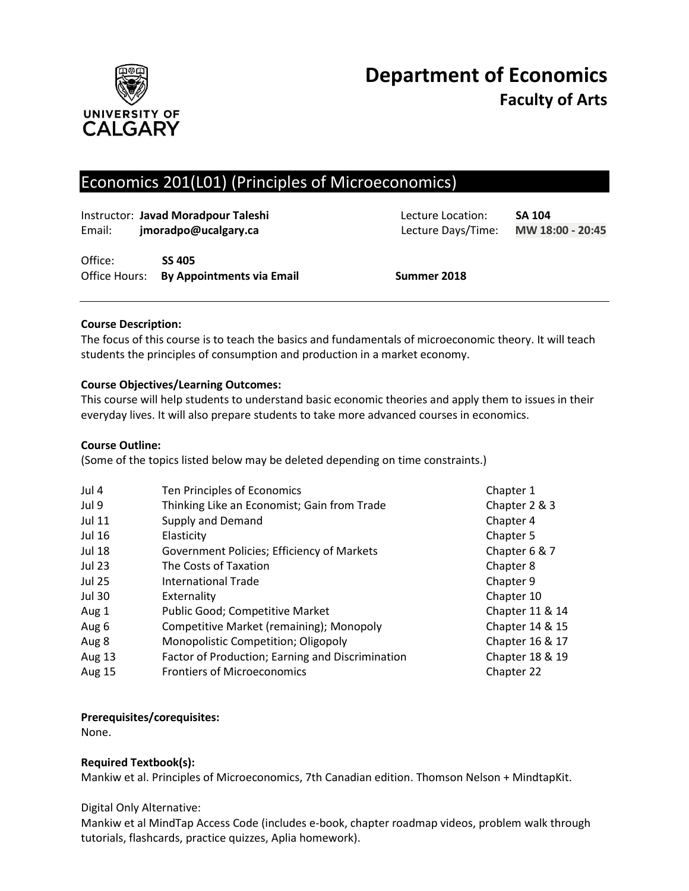

# Economics 201(L01) (Principles of Microeconomics)

| Instructor: Javad Moradpour Taleshi<br>jmoradpo@ucalgary.ca<br>Email: |  |                                                          | Lecture Location:<br>Lecture Days/Time: |  |  |
|-----------------------------------------------------------------------|--|----------------------------------------------------------|-----------------------------------------|--|--|
| Office:                                                               |  | <b>SS 405</b><br>Office Hours: By Appointments via Email | Summer 2018                             |  |  |

## **Course Description:**

The focus of this course is to teach the basics and fundamentals of microeconomic theory. It will teach students the principles of consumption and production in a market economy.

# **Course Objectives/Learning Outcomes:**

This course will help students to understand basic economic theories and apply them to issues in their everyday lives. It will also prepare students to take more advanced courses in economics.

## **Course Outline:**

(Some of the topics listed below may be deleted depending on time constraints.)

| Jul 4         | Ten Principles of Economics                      | Chapter 1       |
|---------------|--------------------------------------------------|-----------------|
| Jul 9         | Thinking Like an Economist; Gain from Trade      | Chapter 2 & 3   |
| <b>Jul 11</b> | Supply and Demand                                | Chapter 4       |
| <b>Jul 16</b> | Elasticity                                       | Chapter 5       |
| <b>Jul 18</b> | Government Policies; Efficiency of Markets       | Chapter 6 & 7   |
| <b>Jul 23</b> | The Costs of Taxation                            | Chapter 8       |
| <b>Jul 25</b> | International Trade                              | Chapter 9       |
| <b>Jul 30</b> | Externality                                      | Chapter 10      |
| Aug 1         | Public Good; Competitive Market                  | Chapter 11 & 14 |
| Aug 6         | Competitive Market (remaining); Monopoly         | Chapter 14 & 15 |
| Aug 8         | Monopolistic Competition; Oligopoly              | Chapter 16 & 17 |
| Aug 13        | Factor of Production; Earning and Discrimination | Chapter 18 & 19 |
| <b>Aug 15</b> | <b>Frontiers of Microeconomics</b>               | Chapter 22      |

## **Prerequisites/corequisites:**

None.

# **Required Textbook(s):**

Mankiw et al. Principles of Microeconomics, 7th Canadian edition. Thomson Nelson + MindtapKit.

## Digital Only Alternative:

Mankiw et al MindTap Access Code (includes e-book, chapter roadmap videos, problem walk through tutorials, flashcards, practice quizzes, Aplia homework).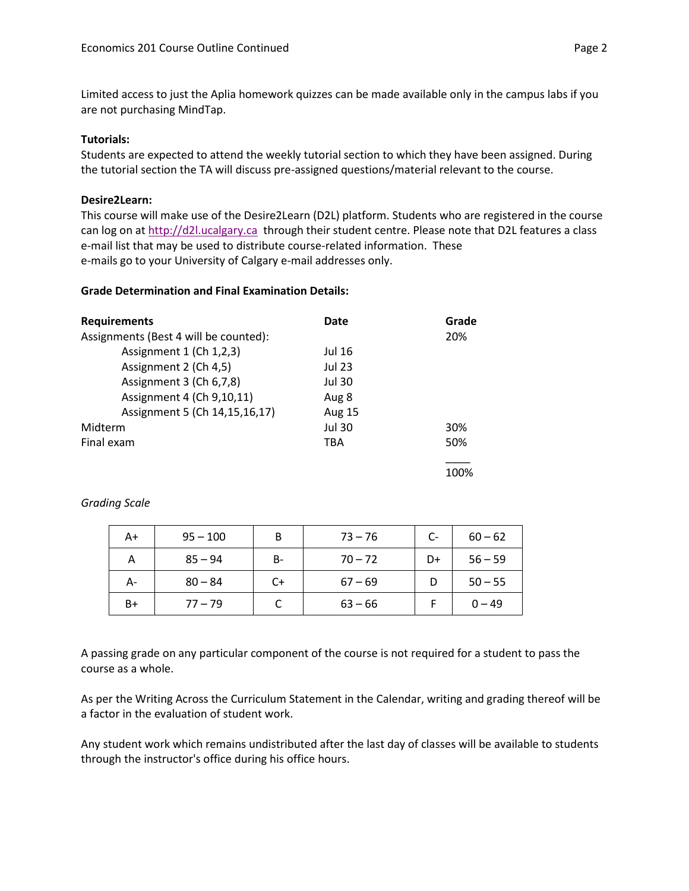Limited access to just the Aplia homework quizzes can be made available only in the campus labs if you are not purchasing MindTap.

#### **Tutorials:**

Students are expected to attend the weekly tutorial section to which they have been assigned. During the tutorial section the TA will discuss pre-assigned questions/material relevant to the course.

#### **Desire2Learn:**

This course will make use of the Desire2Learn (D2L) platform. Students who are registered in the course can log on a[t http://d2l.ucalgary.ca](http://d2l.ucalgary.ca/) through their student centre. Please note that D2L features a class e-mail list that may be used to distribute course-related information. These e-mails go to your University of Calgary e-mail addresses only.

## **Grade Determination and Final Examination Details:**

| <b>Requirements</b>                   | Date          | Grade |  |
|---------------------------------------|---------------|-------|--|
| Assignments (Best 4 will be counted): |               | 20%   |  |
| Assignment 1 (Ch 1,2,3)               | Jul 16        |       |  |
| Assignment 2 (Ch 4,5)                 | <b>Jul 23</b> |       |  |
| Assignment 3 (Ch 6,7,8)               | Jul 30        |       |  |
| Assignment 4 (Ch 9,10,11)             | Aug 8         |       |  |
| Assignment 5 (Ch 14, 15, 16, 17)      | <b>Aug 15</b> |       |  |
| Midterm                               | <b>Jul 30</b> | 30%   |  |
| Final exam                            | <b>TBA</b>    | 50%   |  |
|                                       |               | 100%  |  |

## *Grading Scale*

| A+ | $95 - 100$ | В  | $73 - 76$ | $C-$ | $60 - 62$ |
|----|------------|----|-----------|------|-----------|
| А  | $85 - 94$  | B- | $70 - 72$ | D+   | $56 - 59$ |
| А- | $80 - 84$  | C+ | $67 - 69$ |      | $50 - 55$ |
| B+ | $77 - 79$  |    | $63 - 66$ |      | $0 - 49$  |

A passing grade on any particular component of the course is not required for a student to pass the course as a whole.

As per the Writing Across the Curriculum Statement in the Calendar, writing and grading thereof will be a factor in the evaluation of student work.

Any student work which remains undistributed after the last day of classes will be available to students through the instructor's office during his office hours.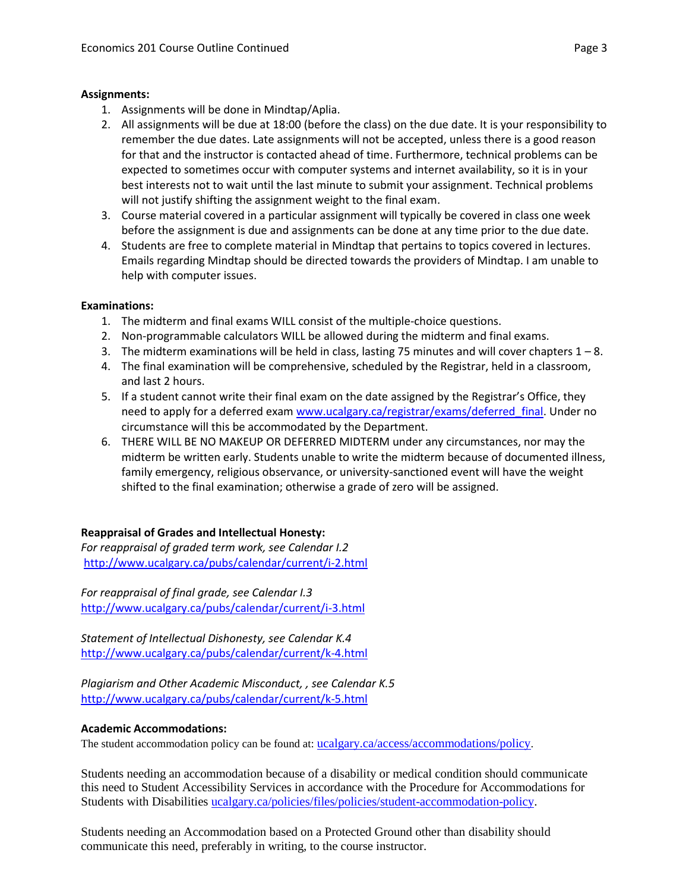#### **Assignments:**

- 1. Assignments will be done in Mindtap/Aplia.
- 2. All assignments will be due at 18:00 (before the class) on the due date. It is your responsibility to remember the due dates. Late assignments will not be accepted, unless there is a good reason for that and the instructor is contacted ahead of time. Furthermore, technical problems can be expected to sometimes occur with computer systems and internet availability, so it is in your best interests not to wait until the last minute to submit your assignment. Technical problems will not justify shifting the assignment weight to the final exam.
- 3. Course material covered in a particular assignment will typically be covered in class one week before the assignment is due and assignments can be done at any time prior to the due date.
- 4. Students are free to complete material in Mindtap that pertains to topics covered in lectures. Emails regarding Mindtap should be directed towards the providers of Mindtap. I am unable to help with computer issues.

#### **Examinations:**

- 1. The midterm and final exams WILL consist of the multiple-choice questions.
- 2. Non-programmable calculators WILL be allowed during the midterm and final exams.
- 3. The midterm examinations will be held in class, lasting 75 minutes and will cover chapters  $1 8$ .
- 4. The final examination will be comprehensive, scheduled by the Registrar, held in a classroom, and last 2 hours.
- 5. If a student cannot write their final exam on the date assigned by the Registrar's Office, they need to apply for a deferred exam [www.ucalgary.ca/registrar/exams/deferred\\_final.](http://www.ucalgary.ca/registrar/exams/deferred_final) Under no circumstance will this be accommodated by the Department.
- 6. THERE WILL BE NO MAKEUP OR DEFERRED MIDTERM under any circumstances, nor may the midterm be written early. Students unable to write the midterm because of documented illness, family emergency, religious observance, or university-sanctioned event will have the weight shifted to the final examination; otherwise a grade of zero will be assigned.

## **Reappraisal of Grades and Intellectual Honesty:**

*For reappraisal of graded term work, see Calendar I.2* <http://www.ucalgary.ca/pubs/calendar/current/i-2.html>

*For reappraisal of final grade, see Calendar I.3* <http://www.ucalgary.ca/pubs/calendar/current/i-3.html>

*Statement of Intellectual Dishonesty, see Calendar K.4* <http://www.ucalgary.ca/pubs/calendar/current/k-4.html>

*Plagiarism and Other Academic Misconduct, , see Calendar K.5* <http://www.ucalgary.ca/pubs/calendar/current/k-5.html>

## **Academic Accommodations:**

The student accommodation policy can be found at: [ucalgary.ca/access/accommodations/policy](http://www.ucalgary.ca/access/accommodations/policy).

Students needing an accommodation because of a disability or medical condition should communicate this need to Student Accessibility Services in accordance with the Procedure for Accommodations for Students with Disabilities [ucalgary.ca/policies/files/policies/student-accommodation-policy.](http://www.ucalgary.ca/policies/files/policies/student-accommodation-policy.pdf)

Students needing an Accommodation based on a Protected Ground other than disability should communicate this need, preferably in writing, to the course instructor.